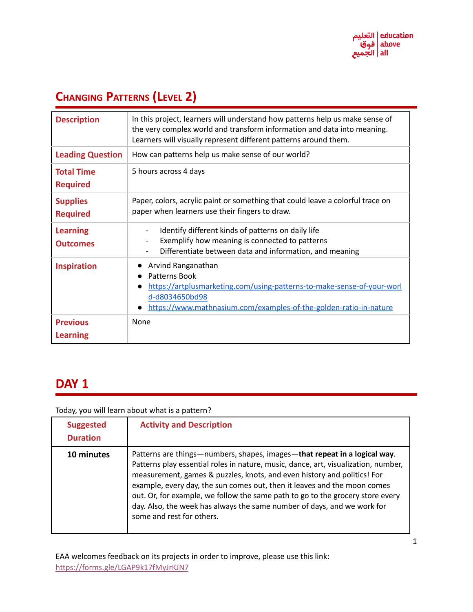# **CHANGING PATTERNS (LEVEL 2)**

| <b>Description</b>                   | In this project, learners will understand how patterns help us make sense of<br>the very complex world and transform information and data into meaning.<br>Learners will visually represent different patterns around them. |
|--------------------------------------|-----------------------------------------------------------------------------------------------------------------------------------------------------------------------------------------------------------------------------|
| <b>Leading Question</b>              | How can patterns help us make sense of our world?                                                                                                                                                                           |
| <b>Total Time</b><br><b>Required</b> | 5 hours across 4 days                                                                                                                                                                                                       |
| <b>Supplies</b><br><b>Required</b>   | Paper, colors, acrylic paint or something that could leave a colorful trace on<br>paper when learners use their fingers to draw.                                                                                            |
| <b>Learning</b><br><b>Outcomes</b>   | Identify different kinds of patterns on daily life<br>$\overline{\phantom{a}}$<br>Exemplify how meaning is connected to patterns<br>$\overline{\phantom{0}}$<br>Differentiate between data and information, and meaning     |
| <b>Inspiration</b>                   | Arvind Ranganathan<br>Patterns Book<br>https://artplusmarketing.com/using-patterns-to-make-sense-of-your-worl<br>d-d8034650bd98<br>https://www.mathnasium.com/examples-of-the-golden-ratio-in-nature                        |
| <b>Previous</b><br><b>Learning</b>   | None                                                                                                                                                                                                                        |

### **DAY 1**

Today, you will learn about what is a pattern?

| <b>Suggested</b><br><b>Duration</b> | <b>Activity and Description</b>                                                                                                                                                                                                                                                                                                                                                                                                                                                                                  |
|-------------------------------------|------------------------------------------------------------------------------------------------------------------------------------------------------------------------------------------------------------------------------------------------------------------------------------------------------------------------------------------------------------------------------------------------------------------------------------------------------------------------------------------------------------------|
| 10 minutes                          | Patterns are things—numbers, shapes, images—that repeat in a logical way.<br>Patterns play essential roles in nature, music, dance, art, visualization, number,<br>measurement, games & puzzles, knots, and even history and politics! For<br>example, every day, the sun comes out, then it leaves and the moon comes<br>out. Or, for example, we follow the same path to go to the grocery store every<br>day. Also, the week has always the same number of days, and we work for<br>some and rest for others. |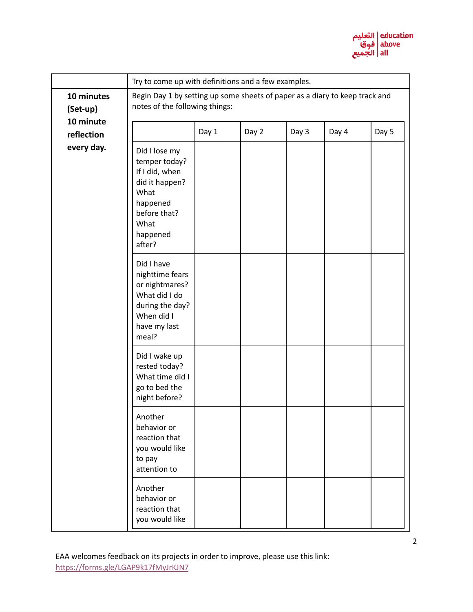

|                         | Try to come up with definitions and a few examples.                                                                                  |       |       |       |       |       |
|-------------------------|--------------------------------------------------------------------------------------------------------------------------------------|-------|-------|-------|-------|-------|
| 10 minutes<br>(Set-up)  | Begin Day 1 by setting up some sheets of paper as a diary to keep track and<br>notes of the following things:                        |       |       |       |       |       |
| 10 minute<br>reflection |                                                                                                                                      | Day 1 | Day 2 | Day 3 | Day 4 | Day 5 |
| every day.              | Did I lose my<br>temper today?<br>If I did, when<br>did it happen?<br>What<br>happened<br>before that?<br>What<br>happened<br>after? |       |       |       |       |       |
|                         | Did I have<br>nighttime fears<br>or nightmares?<br>What did I do<br>during the day?<br>When did I<br>have my last<br>meal?           |       |       |       |       |       |
|                         | Did I wake up<br>rested today?<br>What time did I<br>go to bed the<br>night before?                                                  |       |       |       |       |       |
|                         | Another<br>behavior or<br>reaction that<br>you would like<br>to pay<br>attention to                                                  |       |       |       |       |       |
|                         | Another<br>behavior or<br>reaction that<br>you would like                                                                            |       |       |       |       |       |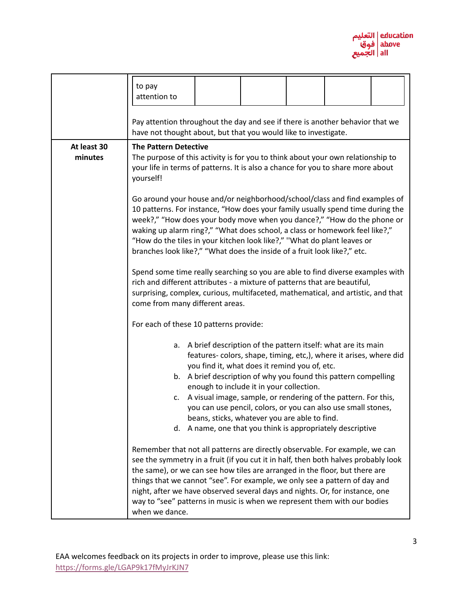

|                        | to pay<br>attention to                                                                                                                                                                                                                                                                                                                                                                                                                                                                                       |                                                                                                                                                                                                      |  |  |
|------------------------|--------------------------------------------------------------------------------------------------------------------------------------------------------------------------------------------------------------------------------------------------------------------------------------------------------------------------------------------------------------------------------------------------------------------------------------------------------------------------------------------------------------|------------------------------------------------------------------------------------------------------------------------------------------------------------------------------------------------------|--|--|
|                        | Pay attention throughout the day and see if there is another behavior that we<br>have not thought about, but that you would like to investigate.                                                                                                                                                                                                                                                                                                                                                             |                                                                                                                                                                                                      |  |  |
| At least 30<br>minutes | <b>The Pattern Detective</b><br>The purpose of this activity is for you to think about your own relationship to<br>your life in terms of patterns. It is also a chance for you to share more about<br>yourself!                                                                                                                                                                                                                                                                                              |                                                                                                                                                                                                      |  |  |
|                        | Go around your house and/or neighborhood/school/class and find examples of<br>10 patterns. For instance, "How does your family usually spend time during the<br>week?," "How does your body move when you dance?," "How do the phone or<br>waking up alarm ring?," "What does school, a class or homework feel like?,"<br>"How do the tiles in your kitchen look like?," "What do plant leaves or<br>branches look like?," "What does the inside of a fruit look like?," etc.                                |                                                                                                                                                                                                      |  |  |
|                        | Spend some time really searching so you are able to find diverse examples with<br>rich and different attributes - a mixture of patterns that are beautiful,<br>surprising, complex, curious, multifaceted, mathematical, and artistic, and that<br>come from many different areas.                                                                                                                                                                                                                           |                                                                                                                                                                                                      |  |  |
|                        | For each of these 10 patterns provide:                                                                                                                                                                                                                                                                                                                                                                                                                                                                       |                                                                                                                                                                                                      |  |  |
|                        | A brief description of the pattern itself: what are its main<br>a.<br>you find it, what does it remind you of, etc.<br>b. A brief description of why you found this pattern compelling<br>enough to include it in your collection.<br>c.<br>beans, sticks, whatever you are able to find.<br>A name, one that you think is appropriately descriptive<br>d.                                                                                                                                                   | features-colors, shape, timing, etc,), where it arises, where did<br>A visual image, sample, or rendering of the pattern. For this,<br>you can use pencil, colors, or you can also use small stones, |  |  |
|                        | Remember that not all patterns are directly observable. For example, we can<br>see the symmetry in a fruit (if you cut it in half, then both halves probably look<br>the same), or we can see how tiles are arranged in the floor, but there are<br>things that we cannot "see". For example, we only see a pattern of day and<br>night, after we have observed several days and nights. Or, for instance, one<br>way to "see" patterns in music is when we represent them with our bodies<br>when we dance. |                                                                                                                                                                                                      |  |  |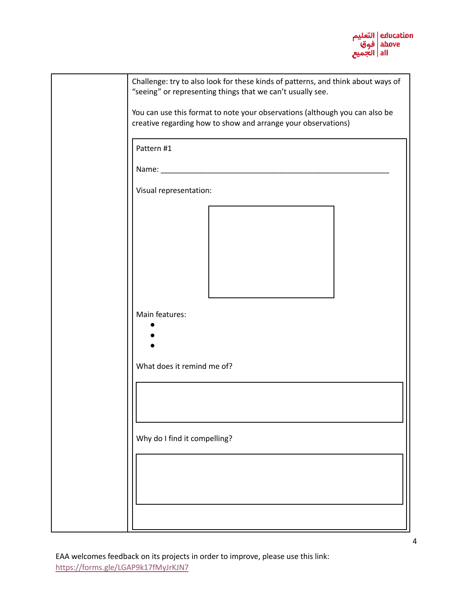

| Challenge: try to also look for these kinds of patterns, and think about ways of<br>"seeing" or representing things that we can't usually see. |
|------------------------------------------------------------------------------------------------------------------------------------------------|
|                                                                                                                                                |
| You can use this format to note your observations (although you can also be<br>creative regarding how to show and arrange your observations)   |
|                                                                                                                                                |
| Pattern #1                                                                                                                                     |
|                                                                                                                                                |
|                                                                                                                                                |
| Visual representation:                                                                                                                         |
|                                                                                                                                                |
|                                                                                                                                                |
|                                                                                                                                                |
|                                                                                                                                                |
|                                                                                                                                                |
|                                                                                                                                                |
| Main features:                                                                                                                                 |
|                                                                                                                                                |
|                                                                                                                                                |
| What does it remind me of?                                                                                                                     |
|                                                                                                                                                |
|                                                                                                                                                |
|                                                                                                                                                |
|                                                                                                                                                |
| Why do I find it compelling?                                                                                                                   |
|                                                                                                                                                |
|                                                                                                                                                |
|                                                                                                                                                |
|                                                                                                                                                |
|                                                                                                                                                |
|                                                                                                                                                |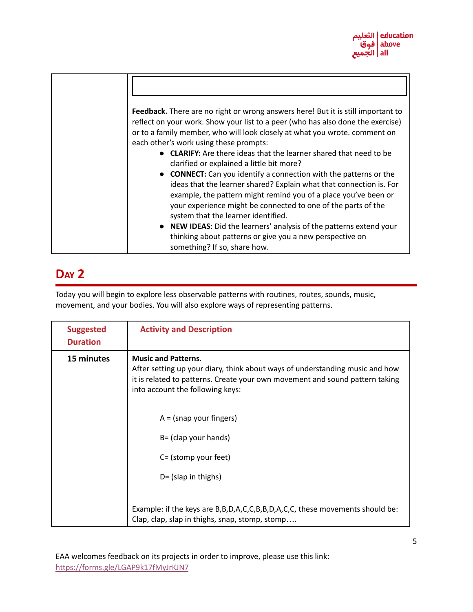

| Feedback. There are no right or wrong answers here! But it is still important to<br>reflect on your work. Show your list to a peer (who has also done the exercise)<br>or to a family member, who will look closely at what you wrote. comment on<br>each other's work using these prompts:                              |
|--------------------------------------------------------------------------------------------------------------------------------------------------------------------------------------------------------------------------------------------------------------------------------------------------------------------------|
| <b>CLARIFY:</b> Are there ideas that the learner shared that need to be<br>clarified or explained a little bit more?                                                                                                                                                                                                     |
| <b>CONNECT:</b> Can you identify a connection with the patterns or the<br>ideas that the learner shared? Explain what that connection is. For<br>example, the pattern might remind you of a place you've been or<br>your experience might be connected to one of the parts of the<br>system that the learner identified. |
| • NEW IDEAS: Did the learners' analysis of the patterns extend your<br>thinking about patterns or give you a new perspective on<br>something? If so, share how.                                                                                                                                                          |

Today you will begin to explore less observable patterns with routines, routes, sounds, music, movement, and your bodies. You will also explore ways of representing patterns.

| <b>Suggested</b><br><b>Duration</b> | <b>Activity and Description</b>                                                                                                                                                                                                |
|-------------------------------------|--------------------------------------------------------------------------------------------------------------------------------------------------------------------------------------------------------------------------------|
| 15 minutes                          | <b>Music and Patterns.</b><br>After setting up your diary, think about ways of understanding music and how<br>it is related to patterns. Create your own movement and sound pattern taking<br>into account the following keys: |
|                                     | $A = (snap your fingers)$<br>$B = (clap your hands)$<br>C= (stomp your feet)<br>$D = (slap$ in thighs)                                                                                                                         |
|                                     | Example: if the keys are B, B, D, A, C, C, B, B, D, A, C, C, these movements should be:<br>Clap, clap, slap in thighs, snap, stomp, stomp                                                                                      |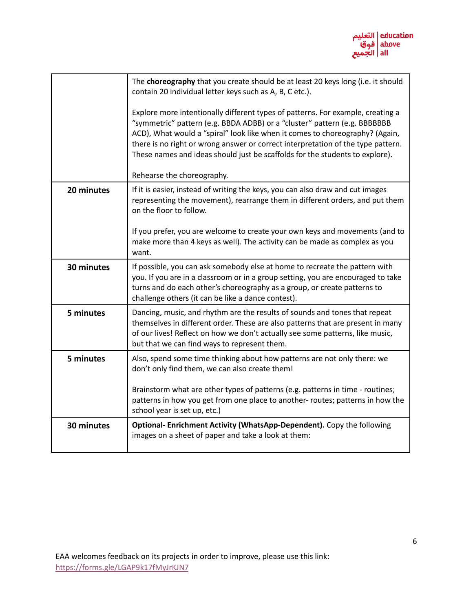

|            | The choreography that you create should be at least 20 keys long (i.e. it should<br>contain 20 individual letter keys such as A, B, C etc.).                                                                                                                                                                                                                                                                                                   |
|------------|------------------------------------------------------------------------------------------------------------------------------------------------------------------------------------------------------------------------------------------------------------------------------------------------------------------------------------------------------------------------------------------------------------------------------------------------|
|            | Explore more intentionally different types of patterns. For example, creating a<br>"symmetric" pattern (e.g. BBDA ADBB) or a "cluster" pattern (e.g. BBBBBBB<br>ACD), What would a "spiral" look like when it comes to choreography? (Again,<br>there is no right or wrong answer or correct interpretation of the type pattern.<br>These names and ideas should just be scaffolds for the students to explore).<br>Rehearse the choreography. |
| 20 minutes | If it is easier, instead of writing the keys, you can also draw and cut images                                                                                                                                                                                                                                                                                                                                                                 |
|            | representing the movement), rearrange them in different orders, and put them<br>on the floor to follow.                                                                                                                                                                                                                                                                                                                                        |
|            | If you prefer, you are welcome to create your own keys and movements (and to<br>make more than 4 keys as well). The activity can be made as complex as you<br>want.                                                                                                                                                                                                                                                                            |
| 30 minutes | If possible, you can ask somebody else at home to recreate the pattern with<br>you. If you are in a classroom or in a group setting, you are encouraged to take<br>turns and do each other's choreography as a group, or create patterns to<br>challenge others (it can be like a dance contest).                                                                                                                                              |
| 5 minutes  | Dancing, music, and rhythm are the results of sounds and tones that repeat<br>themselves in different order. These are also patterns that are present in many<br>of our lives! Reflect on how we don't actually see some patterns, like music,<br>but that we can find ways to represent them.                                                                                                                                                 |
| 5 minutes  | Also, spend some time thinking about how patterns are not only there: we<br>don't only find them, we can also create them!                                                                                                                                                                                                                                                                                                                     |
|            | Brainstorm what are other types of patterns (e.g. patterns in time - routines;<br>patterns in how you get from one place to another- routes; patterns in how the<br>school year is set up, etc.)                                                                                                                                                                                                                                               |
| 30 minutes | Optional- Enrichment Activity (WhatsApp-Dependent). Copy the following<br>images on a sheet of paper and take a look at them:                                                                                                                                                                                                                                                                                                                  |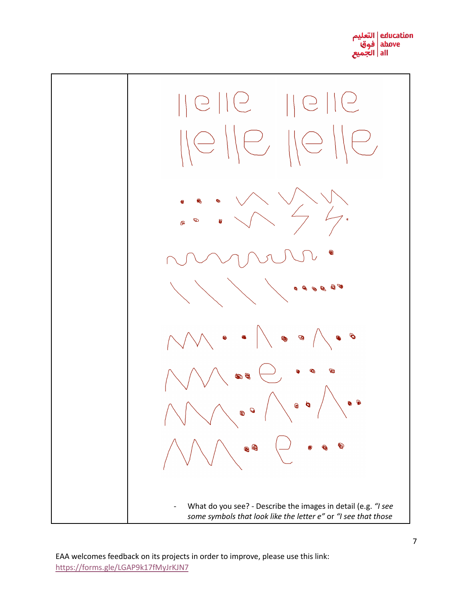

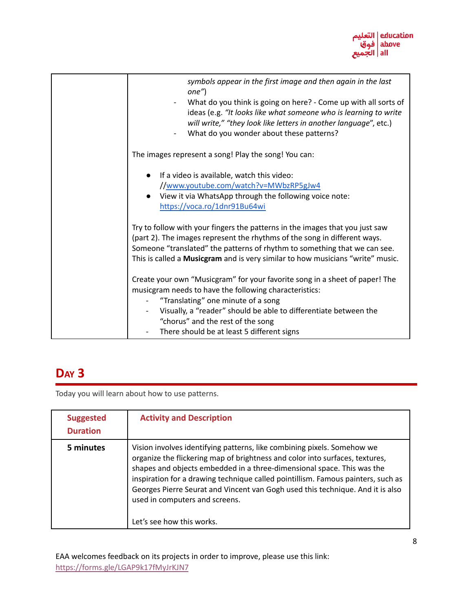

| symbols appear in the first image and then again in the last<br>$one''$ )<br>What do you think is going on here? - Come up with all sorts of                                     |
|----------------------------------------------------------------------------------------------------------------------------------------------------------------------------------|
| ideas (e.g. "It looks like what someone who is learning to write<br>will write," "they look like letters in another language", etc.)<br>What do you wonder about these patterns? |
| The images represent a song! Play the song! You can:                                                                                                                             |
| If a video is available, watch this video:<br>$\bullet$                                                                                                                          |
| //www.youtube.com/watch?v=MWbzRP5gJw4                                                                                                                                            |
| View it via WhatsApp through the following voice note:                                                                                                                           |
| https://voca.ro/1dnr91Bu64wi                                                                                                                                                     |
| Try to follow with your fingers the patterns in the images that you just saw                                                                                                     |
| (part 2). The images represent the rhythms of the song in different ways.                                                                                                        |
| Someone "translated" the patterns of rhythm to something that we can see.                                                                                                        |
| This is called a Musicgram and is very similar to how musicians "write" music.                                                                                                   |
| Create your own "Musicgram" for your favorite song in a sheet of paper! The<br>musicgram needs to have the following characteristics:                                            |
| "Translating" one minute of a song                                                                                                                                               |
| Visually, a "reader" should be able to differentiate between the                                                                                                                 |
| "chorus" and the rest of the song                                                                                                                                                |
| There should be at least 5 different signs                                                                                                                                       |

Today you will learn about how to use patterns.

| <b>Suggested</b><br><b>Duration</b> | <b>Activity and Description</b>                                                                                                                                                                                                                                                                                                                                                                                                                                        |
|-------------------------------------|------------------------------------------------------------------------------------------------------------------------------------------------------------------------------------------------------------------------------------------------------------------------------------------------------------------------------------------------------------------------------------------------------------------------------------------------------------------------|
| 5 minutes                           | Vision involves identifying patterns, like combining pixels. Somehow we<br>organize the flickering map of brightness and color into surfaces, textures,<br>shapes and objects embedded in a three-dimensional space. This was the<br>inspiration for a drawing technique called pointillism. Famous painters, such as<br>Georges Pierre Seurat and Vincent van Gogh used this technique. And it is also<br>used in computers and screens.<br>Let's see how this works. |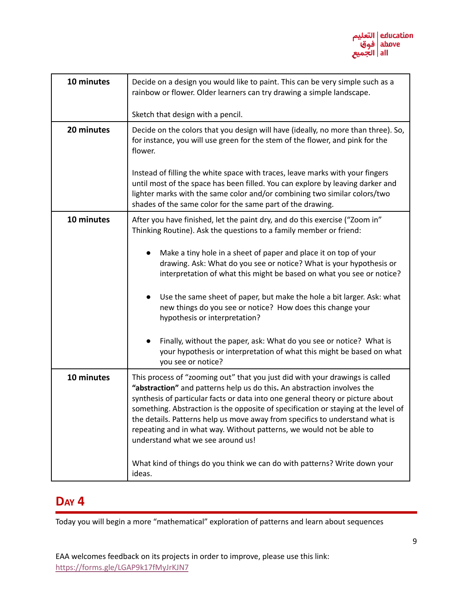

| 10 minutes | Decide on a design you would like to paint. This can be very simple such as a<br>rainbow or flower. Older learners can try drawing a simple landscape.                                                                                                                                                                                                                                                                                                                                                                       |  |  |
|------------|------------------------------------------------------------------------------------------------------------------------------------------------------------------------------------------------------------------------------------------------------------------------------------------------------------------------------------------------------------------------------------------------------------------------------------------------------------------------------------------------------------------------------|--|--|
|            | Sketch that design with a pencil.                                                                                                                                                                                                                                                                                                                                                                                                                                                                                            |  |  |
| 20 minutes | Decide on the colors that you design will have (ideally, no more than three). So,<br>for instance, you will use green for the stem of the flower, and pink for the<br>flower.                                                                                                                                                                                                                                                                                                                                                |  |  |
|            | Instead of filling the white space with traces, leave marks with your fingers<br>until most of the space has been filled. You can explore by leaving darker and<br>lighter marks with the same color and/or combining two similar colors/two<br>shades of the same color for the same part of the drawing.                                                                                                                                                                                                                   |  |  |
| 10 minutes | After you have finished, let the paint dry, and do this exercise ("Zoom in"<br>Thinking Routine). Ask the questions to a family member or friend:                                                                                                                                                                                                                                                                                                                                                                            |  |  |
|            | Make a tiny hole in a sheet of paper and place it on top of your<br>drawing. Ask: What do you see or notice? What is your hypothesis or<br>interpretation of what this might be based on what you see or notice?                                                                                                                                                                                                                                                                                                             |  |  |
|            | Use the same sheet of paper, but make the hole a bit larger. Ask: what<br>$\bullet$<br>new things do you see or notice? How does this change your<br>hypothesis or interpretation?                                                                                                                                                                                                                                                                                                                                           |  |  |
|            | Finally, without the paper, ask: What do you see or notice? What is<br>$\bullet$<br>your hypothesis or interpretation of what this might be based on what<br>you see or notice?                                                                                                                                                                                                                                                                                                                                              |  |  |
| 10 minutes | This process of "zooming out" that you just did with your drawings is called<br>"abstraction" and patterns help us do this. An abstraction involves the<br>synthesis of particular facts or data into one general theory or picture about<br>something. Abstraction is the opposite of specification or staying at the level of<br>the details. Patterns help us move away from specifics to understand what is<br>repeating and in what way. Without patterns, we would not be able to<br>understand what we see around us! |  |  |
|            | What kind of things do you think we can do with patterns? Write down your<br>ideas.                                                                                                                                                                                                                                                                                                                                                                                                                                          |  |  |

Today you will begin a more "mathematical" exploration of patterns and learn about sequences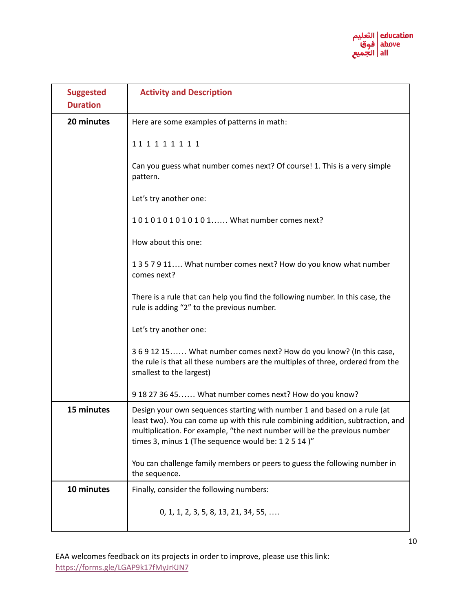

| <b>Suggested</b><br><b>Duration</b> | <b>Activity and Description</b>                                                                                                                                                                                                                                                                 |
|-------------------------------------|-------------------------------------------------------------------------------------------------------------------------------------------------------------------------------------------------------------------------------------------------------------------------------------------------|
| 20 minutes                          | Here are some examples of patterns in math:                                                                                                                                                                                                                                                     |
|                                     | 111111111                                                                                                                                                                                                                                                                                       |
|                                     | Can you guess what number comes next? Of course! 1. This is a very simple<br>pattern.                                                                                                                                                                                                           |
|                                     | Let's try another one:                                                                                                                                                                                                                                                                          |
|                                     | 1010101010101 What number comes next?                                                                                                                                                                                                                                                           |
|                                     | How about this one:                                                                                                                                                                                                                                                                             |
|                                     | 1357911 What number comes next? How do you know what number<br>comes next?                                                                                                                                                                                                                      |
|                                     | There is a rule that can help you find the following number. In this case, the<br>rule is adding "2" to the previous number.                                                                                                                                                                    |
|                                     | Let's try another one:                                                                                                                                                                                                                                                                          |
|                                     | 3691215 What number comes next? How do you know? (In this case,<br>the rule is that all these numbers are the multiples of three, ordered from the<br>smallest to the largest)                                                                                                                  |
|                                     | 918273645 What number comes next? How do you know?                                                                                                                                                                                                                                              |
| 15 minutes                          | Design your own sequences starting with number 1 and based on a rule (at<br>least two). You can come up with this rule combining addition, subtraction, and<br>multiplication. For example, "the next number will be the previous number<br>times 3, minus 1 (The sequence would be: 1 2 5 14)" |
|                                     | You can challenge family members or peers to guess the following number in<br>the sequence.                                                                                                                                                                                                     |
| 10 minutes                          | Finally, consider the following numbers:                                                                                                                                                                                                                                                        |
|                                     | $0, 1, 1, 2, 3, 5, 8, 13, 21, 34, 55, \ldots$                                                                                                                                                                                                                                                   |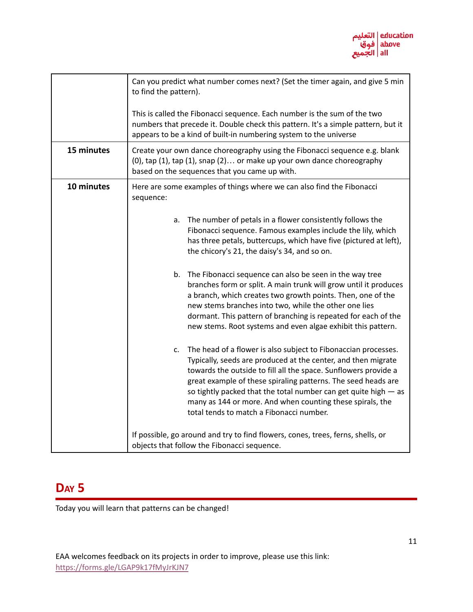

|            | Can you predict what number comes next? (Set the timer again, and give 5 min<br>to find the pattern).<br>This is called the Fibonacci sequence. Each number is the sum of the two<br>numbers that precede it. Double check this pattern. It's a simple pattern, but it<br>appears to be a kind of built-in numbering system to the universe                                                                                                             |
|------------|---------------------------------------------------------------------------------------------------------------------------------------------------------------------------------------------------------------------------------------------------------------------------------------------------------------------------------------------------------------------------------------------------------------------------------------------------------|
| 15 minutes | Create your own dance choreography using the Fibonacci sequence e.g. blank                                                                                                                                                                                                                                                                                                                                                                              |
|            | (0), tap (1), tap (1), snap (2) or make up your own dance choreography<br>based on the sequences that you came up with.                                                                                                                                                                                                                                                                                                                                 |
| 10 minutes | Here are some examples of things where we can also find the Fibonacci<br>sequence:                                                                                                                                                                                                                                                                                                                                                                      |
|            | The number of petals in a flower consistently follows the<br>a.<br>Fibonacci sequence. Famous examples include the lily, which<br>has three petals, buttercups, which have five (pictured at left),<br>the chicory's 21, the daisy's 34, and so on.                                                                                                                                                                                                     |
|            | The Fibonacci sequence can also be seen in the way tree<br>b.<br>branches form or split. A main trunk will grow until it produces<br>a branch, which creates two growth points. Then, one of the<br>new stems branches into two, while the other one lies<br>dormant. This pattern of branching is repeated for each of the<br>new stems. Root systems and even algae exhibit this pattern.                                                             |
|            | The head of a flower is also subject to Fibonaccian processes.<br>c.<br>Typically, seeds are produced at the center, and then migrate<br>towards the outside to fill all the space. Sunflowers provide a<br>great example of these spiraling patterns. The seed heads are<br>so tightly packed that the total number can get quite high $-$ as<br>many as 144 or more. And when counting these spirals, the<br>total tends to match a Fibonacci number. |
|            | If possible, go around and try to find flowers, cones, trees, ferns, shells, or<br>objects that follow the Fibonacci sequence.                                                                                                                                                                                                                                                                                                                          |

Today you will learn that patterns can be changed!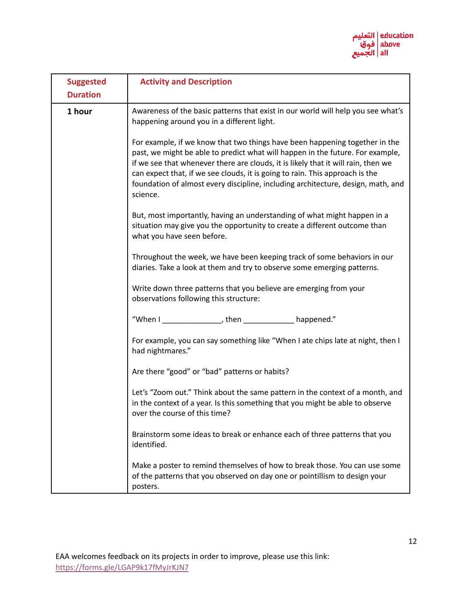

| <b>Suggested</b><br><b>Duration</b> | <b>Activity and Description</b>                                                                                                                                                                                                                                                                                                                                                                                                    |
|-------------------------------------|------------------------------------------------------------------------------------------------------------------------------------------------------------------------------------------------------------------------------------------------------------------------------------------------------------------------------------------------------------------------------------------------------------------------------------|
| 1 hour                              | Awareness of the basic patterns that exist in our world will help you see what's<br>happening around you in a different light.                                                                                                                                                                                                                                                                                                     |
|                                     | For example, if we know that two things have been happening together in the<br>past, we might be able to predict what will happen in the future. For example,<br>if we see that whenever there are clouds, it is likely that it will rain, then we<br>can expect that, if we see clouds, it is going to rain. This approach is the<br>foundation of almost every discipline, including architecture, design, math, and<br>science. |
|                                     | But, most importantly, having an understanding of what might happen in a<br>situation may give you the opportunity to create a different outcome than<br>what you have seen before.                                                                                                                                                                                                                                                |
|                                     | Throughout the week, we have been keeping track of some behaviors in our<br>diaries. Take a look at them and try to observe some emerging patterns.                                                                                                                                                                                                                                                                                |
|                                     | Write down three patterns that you believe are emerging from your<br>observations following this structure:                                                                                                                                                                                                                                                                                                                        |
|                                     | "When I _________________, then ________________ happened."                                                                                                                                                                                                                                                                                                                                                                        |
|                                     | For example, you can say something like "When I ate chips late at night, then I<br>had nightmares."                                                                                                                                                                                                                                                                                                                                |
|                                     | Are there "good" or "bad" patterns or habits?                                                                                                                                                                                                                                                                                                                                                                                      |
|                                     | Let's "Zoom out." Think about the same pattern in the context of a month, and<br>in the context of a year. Is this something that you might be able to observe<br>over the course of this time?                                                                                                                                                                                                                                    |
|                                     | Brainstorm some ideas to break or enhance each of three patterns that you<br>identified.                                                                                                                                                                                                                                                                                                                                           |
|                                     | Make a poster to remind themselves of how to break those. You can use some<br>of the patterns that you observed on day one or pointillism to design your<br>posters.                                                                                                                                                                                                                                                               |